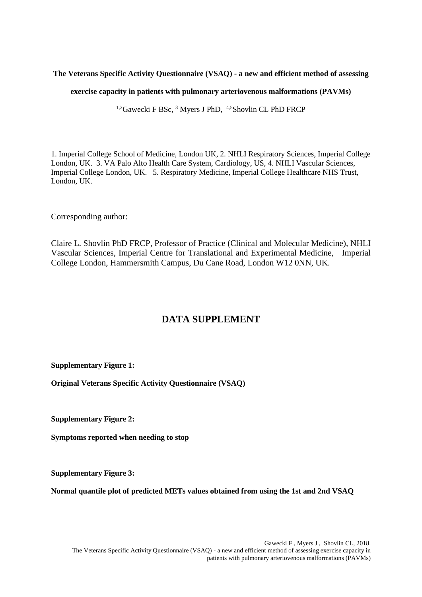## **The Veterans Specific Activity Questionnaire (VSAQ) - a new and efficient method of assessing**

#### **exercise capacity in patients with pulmonary arteriovenous malformations (PAVMs)**

<sup>1,2</sup>Gawecki F BSc, <sup>3</sup> Myers J PhD, <sup>4,5</sup>Shovlin CL PhD FRCP

1. Imperial College School of Medicine, London UK, 2. NHLI Respiratory Sciences, Imperial College London, UK. 3. VA Palo Alto Health Care System, Cardiology, US, 4. NHLI Vascular Sciences, Imperial College London, UK. 5. Respiratory Medicine, Imperial College Healthcare NHS Trust, London, UK.

Corresponding author:

Claire L. Shovlin PhD FRCP, Professor of Practice (Clinical and Molecular Medicine), NHLI Vascular Sciences, Imperial Centre for Translational and Experimental Medicine, Imperial College London, Hammersmith Campus, Du Cane Road, London W12 0NN, UK.

# **DATA SUPPLEMENT**

**Supplementary Figure 1:** 

**Original Veterans Specific Activity Questionnaire (VSAQ)**

**Supplementary Figure 2:** 

**Symptoms reported when needing to stop** 

**Supplementary Figure 3:** 

**Normal quantile plot of predicted METs values obtained from using the 1st and 2nd VSAQ**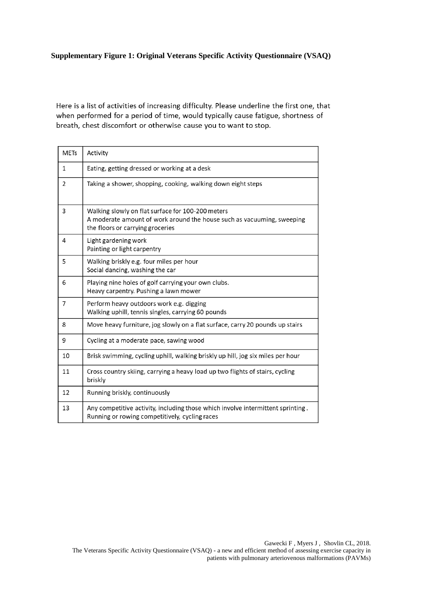# **Supplementary Figure 1: Original Veterans Specific Activity Questionnaire (VSAQ)**

Here is a list of activities of increasing difficulty. Please underline the first one, that when performed for a period of time, would typically cause fatigue, shortness of breath, chest discomfort or otherwise cause you to want to stop.

| <b>METs</b> | Activity                                                                                                                                                        |
|-------------|-----------------------------------------------------------------------------------------------------------------------------------------------------------------|
| 1           | Eating, getting dressed or working at a desk                                                                                                                    |
| 2           | Taking a shower, shopping, cooking, walking down eight steps                                                                                                    |
| 3           | Walking slowly on flat surface for 100-200 meters<br>A moderate amount of work around the house such as vacuuming, sweeping<br>the floors or carrying groceries |
| 4           | Light gardening work<br>Painting or light carpentry                                                                                                             |
| 5           | Walking briskly e.g. four miles per hour<br>Social dancing, washing the car                                                                                     |
| 6           | Playing nine holes of golf carrying your own clubs.<br>Heavy carpentry. Pushing a lawn mower                                                                    |
| 7           | Perform heavy outdoors work e.g. digging<br>Walking uphill, tennis singles, carrying 60 pounds                                                                  |
| 8           | Move heavy furniture, jog slowly on a flat surface, carry 20 pounds up stairs                                                                                   |
| 9           | Cycling at a moderate pace, sawing wood                                                                                                                         |
| 10          | Brisk swimming, cycling uphill, walking briskly up hill, jog six miles per hour                                                                                 |
| 11          | Cross country skiing, carrying a heavy load up two flights of stairs, cycling<br>briskly                                                                        |
| 12          | Running briskly, continuously                                                                                                                                   |
| 13          | Any competitive activity, including those which involve intermittent sprinting.<br>Running or rowing competitively, cycling races                               |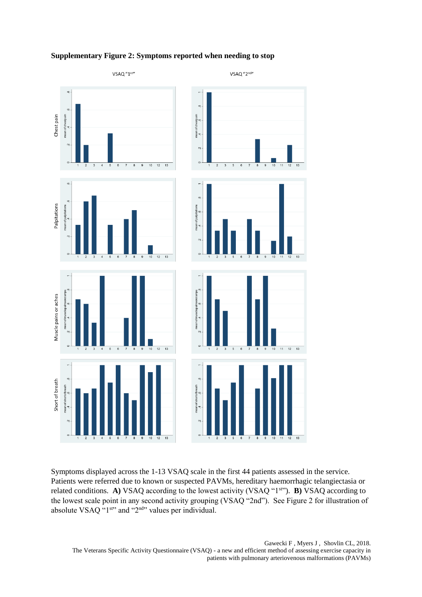

## **Supplementary Figure 2: Symptoms reported when needing to stop**

Symptoms displayed across the 1-13 VSAQ scale in the first 44 patients assessed in the service. Patients were referred due to known or suspected PAVMs, hereditary haemorrhagic telangiectasia or related conditions. A) VSAQ according to the lowest activity (VSAQ "1<sup>st"</sup>). **B**) VSAQ according to the lowest scale point in any second activity grouping (VSAQ "2nd"). See Figure 2 for illustration of absolute VSAQ  $^{4}$ 1st<sup>1</sup> and "2<sup>nd</sup>" values per individual.